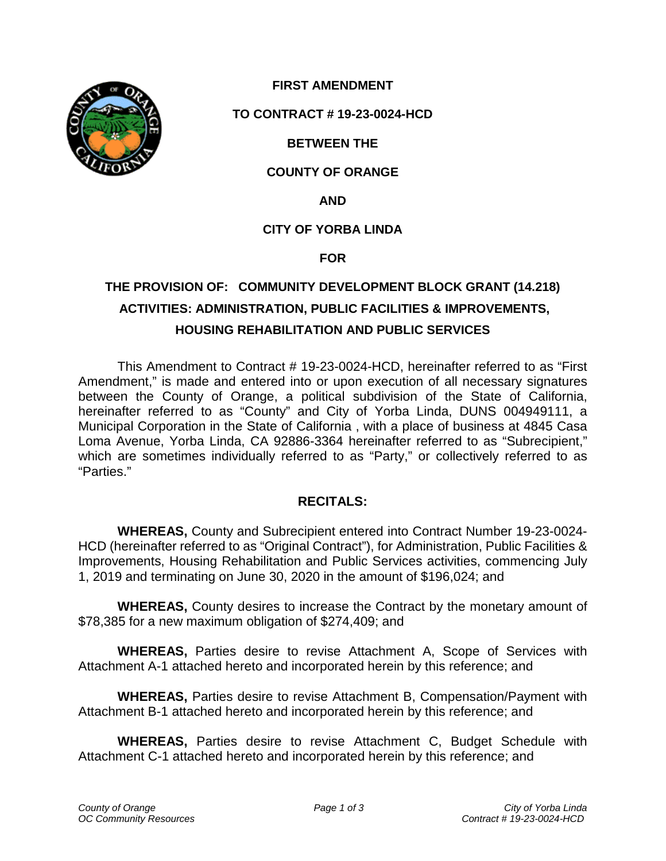

# **FIRST AMENDMENT**

## **TO CONTRACT # 19-23-0024-HCD**

## **BETWEEN THE**

## **COUNTY OF ORANGE**

**AND**

## **CITY OF YORBA LINDA**

#### **FOR**

# **THE PROVISION OF: COMMUNITY DEVELOPMENT BLOCK GRANT (14.218) ACTIVITIES: ADMINISTRATION, PUBLIC FACILITIES & IMPROVEMENTS, HOUSING REHABILITATION AND PUBLIC SERVICES**

This Amendment to Contract # 19-23-0024-HCD, hereinafter referred to as "First Amendment," is made and entered into or upon execution of all necessary signatures between the County of Orange, a political subdivision of the State of California, hereinafter referred to as "County" and City of Yorba Linda, DUNS 004949111, a Municipal Corporation in the State of California , with a place of business at 4845 Casa Loma Avenue, Yorba Linda, CA 92886-3364 hereinafter referred to as "Subrecipient," which are sometimes individually referred to as "Party," or collectively referred to as "Parties."

## **RECITALS:**

**WHEREAS,** County and Subrecipient entered into Contract Number 19-23-0024- HCD (hereinafter referred to as "Original Contract"), for Administration, Public Facilities & Improvements, Housing Rehabilitation and Public Services activities, commencing July 1, 2019 and terminating on June 30, 2020 in the amount of \$196,024; and

**WHEREAS,** County desires to increase the Contract by the monetary amount of \$78,385 for a new maximum obligation of \$274,409; and

**WHEREAS,** Parties desire to revise Attachment A, Scope of Services with Attachment A-1 attached hereto and incorporated herein by this reference; and

**WHEREAS,** Parties desire to revise Attachment B, Compensation/Payment with Attachment B-1 attached hereto and incorporated herein by this reference; and

**WHEREAS,** Parties desire to revise Attachment C, Budget Schedule with Attachment C-1 attached hereto and incorporated herein by this reference; and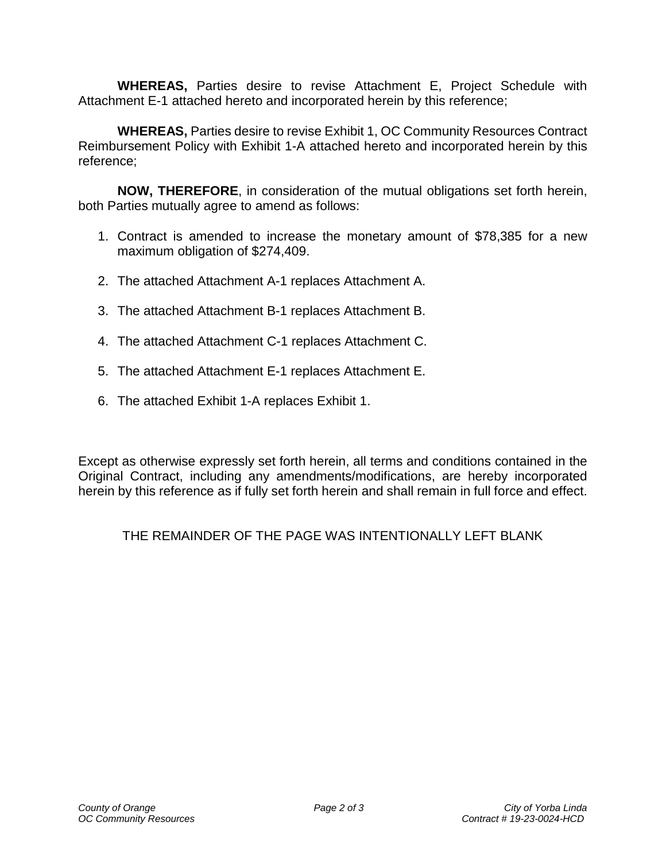**WHEREAS,** Parties desire to revise Attachment E, Project Schedule with Attachment E-1 attached hereto and incorporated herein by this reference;

**WHEREAS,** Parties desire to revise Exhibit 1, OC Community Resources Contract Reimbursement Policy with Exhibit 1-A attached hereto and incorporated herein by this reference;

**NOW, THEREFORE**, in consideration of the mutual obligations set forth herein, both Parties mutually agree to amend as follows:

- 1. Contract is amended to increase the monetary amount of \$78,385 for a new maximum obligation of \$274,409.
- 2. The attached Attachment A-1 replaces Attachment A.
- 3. The attached Attachment B-1 replaces Attachment B.
- 4. The attached Attachment C-1 replaces Attachment C.
- 5. The attached Attachment E-1 replaces Attachment E.
- 6. The attached Exhibit 1-A replaces Exhibit 1.

Except as otherwise expressly set forth herein, all terms and conditions contained in the Original Contract, including any amendments/modifications, are hereby incorporated herein by this reference as if fully set forth herein and shall remain in full force and effect.

# THE REMAINDER OF THE PAGE WAS INTENTIONALLY LEFT BLANK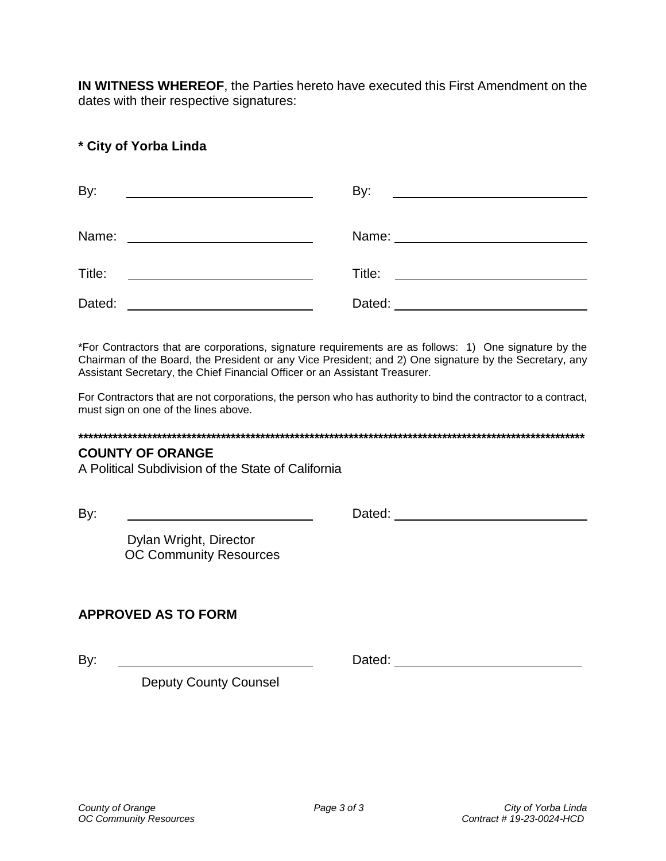**IN WITNESS WHEREOF**, the Parties hereto have executed this First Amendment on the dates with their respective signatures:

# **\* City of Yorba Linda**

| By:<br><u> 1990 - John Stone, amerikansk politiker (</u>                                                                       | By:<br><u> Alexandria de la contrada de la contrada de la contrada de la contrada de la contrada de la contrada de la c</u> |
|--------------------------------------------------------------------------------------------------------------------------------|-----------------------------------------------------------------------------------------------------------------------------|
| Name:<br><u> 1990 - Johann Barbara, martin a</u>                                                                               |                                                                                                                             |
| Title:<br><u> Liste de la construcción de la construcción de la construcción de la construcción de la construcción de la c</u> |                                                                                                                             |
| Dated:                                                                                                                         |                                                                                                                             |

\*For Contractors that are corporations, signature requirements are as follows: 1) One signature by the Chairman of the Board, the President or any Vice President; and 2) One signature by the Secretary, any Assistant Secretary, the Chief Financial Officer or an Assistant Treasurer.

For Contractors that are not corporations, the person who has authority to bind the contractor to a contract, must sign on one of the lines above.

#### **\*\*\*\*\*\*\*\*\*\*\*\*\*\*\*\*\*\*\*\*\*\*\*\*\*\*\*\*\*\*\*\*\*\*\*\*\*\*\*\*\*\*\*\*\*\*\*\*\*\*\*\*\*\*\*\*\*\*\*\*\*\*\*\*\*\*\*\*\*\*\*\*\*\*\*\*\*\*\*\*\*\*\*\*\*\*\*\*\*\*\*\*\*\*\*\*\*\*\*\*\*\*\***

## **COUNTY OF ORANGE**

A Political Subdivision of the State of California

By: Dated: Dated: Dated: Property of the United States of the United States of the United States of the United States of the United States of the United States of the United States of the United States of the United States

Dylan Wright, Director OC Community Resources

# **APPROVED AS TO FORM**

By: Dated: Dated: Dated: Dated: Dated: Dated: Dated: Dated: Dated: Dated: Dated: Dated: Dated: Dated: Dated: Dated: Dated: Dated: Dated: Dated: Dated: Dated: Dated: Dated: Dated: Dated: Dated: Dated: Dated: Dated: Dated: D

Deputy County Counsel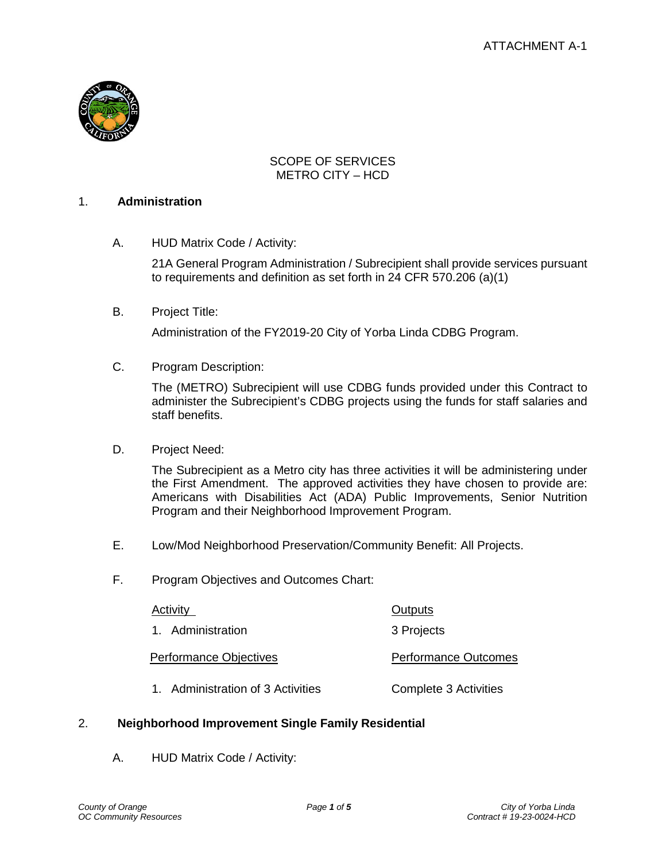

## SCOPE OF SERVICES METRO CITY – HCD

#### 1. **Administration**

A. HUD Matrix Code / Activity:

21A General Program Administration / Subrecipient shall provide services pursuant to requirements and definition as set forth in 24 CFR 570.206 (a)(1)

B. Project Title:

Administration of the FY2019-20 City of Yorba Linda CDBG Program.

C. Program Description:

The (METRO) Subrecipient will use CDBG funds provided under this Contract to administer the Subrecipient's CDBG projects using the funds for staff salaries and staff benefits.

D. Project Need:

The Subrecipient as a Metro city has three activities it will be administering under the First Amendment. The approved activities they have chosen to provide are: Americans with Disabilities Act (ADA) Public Improvements, Senior Nutrition Program and their Neighborhood Improvement Program.

- E. Low/Mod Neighborhood Preservation/Community Benefit: All Projects.
- F. Program Objectives and Outcomes Chart:

| Activity                      | <b>Outputs</b>              |
|-------------------------------|-----------------------------|
| 1. Administration             | 3 Projects                  |
| <b>Performance Objectives</b> | <b>Performance Outcomes</b> |
| .                             | .                           |

1. Administration of 3 Activities Complete 3 Activities

## 2. **Neighborhood Improvement Single Family Residential**

A. HUD Matrix Code / Activity: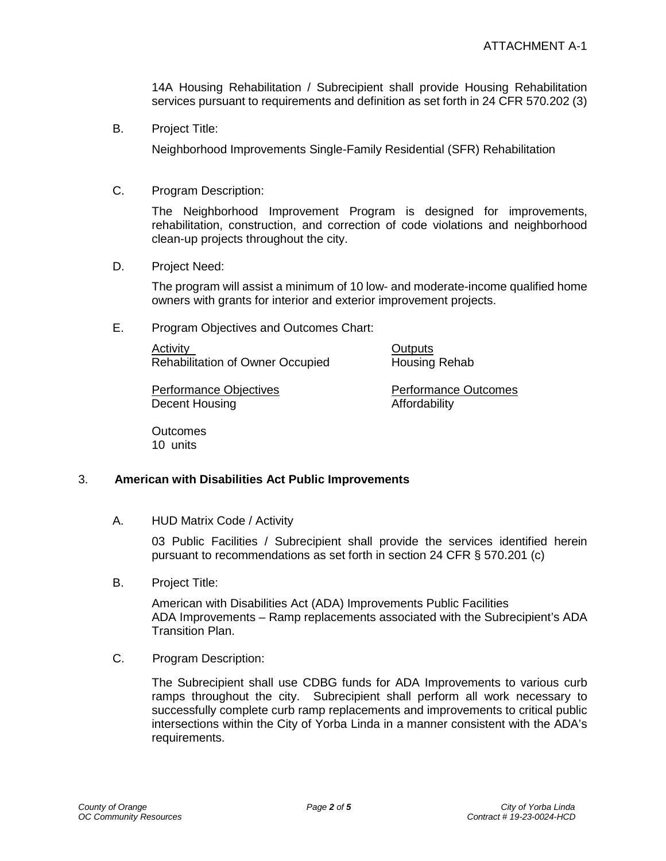14A Housing Rehabilitation / Subrecipient shall provide Housing Rehabilitation services pursuant to requirements and definition as set forth in 24 CFR 570.202 (3)

B. Project Title:

Neighborhood Improvements Single-Family Residential (SFR) Rehabilitation

C. Program Description:

The Neighborhood Improvement Program is designed for improvements, rehabilitation, construction, and correction of code violations and neighborhood clean-up projects throughout the city.

D. Project Need:

The program will assist a minimum of 10 low- and moderate-income qualified home owners with grants for interior and exterior improvement projects.

E. Program Objectives and Outcomes Chart:

Activity **Outputs** Rehabilitation of Owner Occupied Housing Rehab

Performance Objectives **Performance Outcomes** Decent Housing **Affordability** 

**Outcomes** 10 units

## 3. **American with Disabilities Act Public Improvements**

A. HUD Matrix Code / Activity

03 Public Facilities / Subrecipient shall provide the services identified herein pursuant to recommendations as set forth in section 24 CFR § 570.201 (c)

B. Project Title:

American with Disabilities Act (ADA) Improvements Public Facilities ADA Improvements – Ramp replacements associated with the Subrecipient's ADA Transition Plan.

C. Program Description:

The Subrecipient shall use CDBG funds for ADA Improvements to various curb ramps throughout the city. Subrecipient shall perform all work necessary to successfully complete curb ramp replacements and improvements to critical public intersections within the City of Yorba Linda in a manner consistent with the ADA's requirements.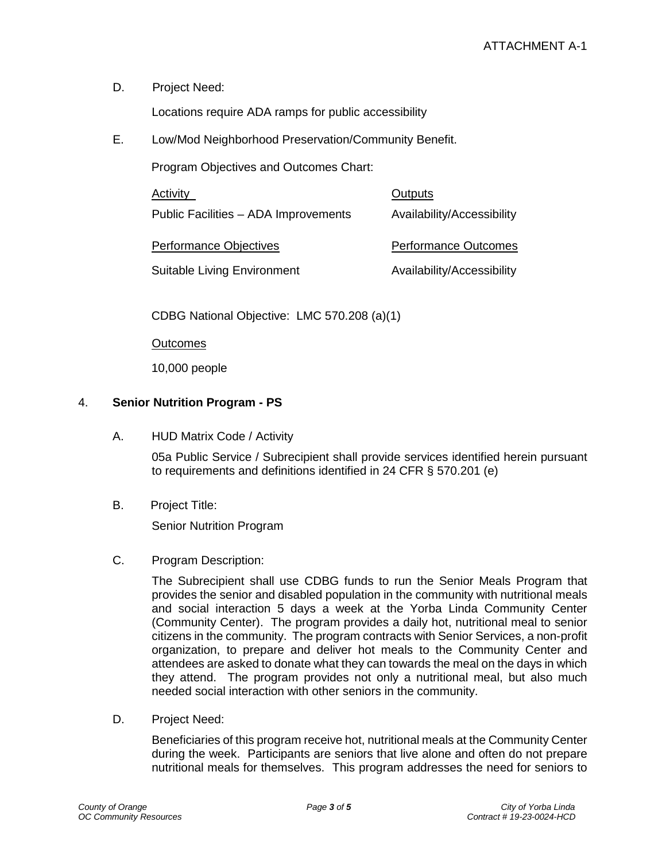D. Project Need:

Locations require ADA ramps for public accessibility

E. Low/Mod Neighborhood Preservation/Community Benefit.

Program Objectives and Outcomes Chart:

| Activity                             | Outputs                     |
|--------------------------------------|-----------------------------|
| Public Facilities - ADA Improvements | Availability/Accessibility  |
| Performance Objectives               | <b>Performance Outcomes</b> |
| <b>Suitable Living Environment</b>   | Availability/Accessibility  |
|                                      |                             |

CDBG National Objective: LMC 570.208 (a)(1)

**Outcomes** 

10,000 people

## 4. **Senior Nutrition Program - PS**

A. HUD Matrix Code / Activity

05a Public Service / Subrecipient shall provide services identified herein pursuant to requirements and definitions identified in 24 CFR § 570.201 (e)

B. Project Title:

Senior Nutrition Program

## C. Program Description:

The Subrecipient shall use CDBG funds to run the Senior Meals Program that provides the senior and disabled population in the community with nutritional meals and social interaction 5 days a week at the Yorba Linda Community Center (Community Center). The program provides a daily hot, nutritional meal to senior citizens in the community. The program contracts with Senior Services, a non-profit organization, to prepare and deliver hot meals to the Community Center and attendees are asked to donate what they can towards the meal on the days in which they attend. The program provides not only a nutritional meal, but also much needed social interaction with other seniors in the community.

D. Project Need:

Beneficiaries of this program receive hot, nutritional meals at the Community Center during the week. Participants are seniors that live alone and often do not prepare nutritional meals for themselves. This program addresses the need for seniors to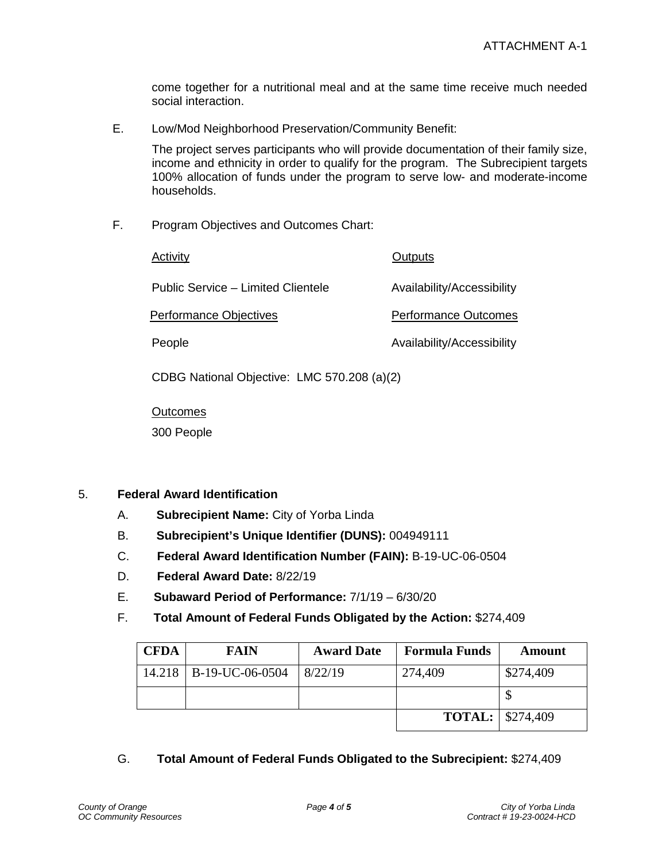come together for a nutritional meal and at the same time receive much needed social interaction.

E. Low/Mod Neighborhood Preservation/Community Benefit:

The project serves participants who will provide documentation of their family size, income and ethnicity in order to qualify for the program. The Subrecipient targets 100% allocation of funds under the program to serve low- and moderate-income households.

F. Program Objectives and Outcomes Chart:

Activity **Due Activity Outputs** 

Public Service – Limited Clientele Availability/Accessibility

Performance Objectives **Performance Outcomes** 

People **Availability/Accessibility** 

CDBG National Objective: LMC 570.208 (a)(2)

**Outcomes** 

300 People

## 5. **Federal Award Identification**

- A. **Subrecipient Name:** City of Yorba Linda
- B. **Subrecipient's Unique Identifier (DUNS):** 004949111
- C. **Federal Award Identification Number (FAIN):** B-19-UC-06-0504
- D. **Federal Award Date:** 8/22/19
- E. **Subaward Period of Performance:** 7/1/19 6/30/20
- F. **Total Amount of Federal Funds Obligated by the Action:** \$274,409

| <b>CFDA</b> | FAIN                     | <b>Award Date</b> | <b>Formula Funds</b>      | Amount    |
|-------------|--------------------------|-------------------|---------------------------|-----------|
|             | 14.218   B-19-UC-06-0504 | 8/22/19           | 274,409                   | \$274,409 |
|             |                          |                   |                           |           |
|             |                          |                   | <b>TOTAL:</b>   \$274,409 |           |

G. **Total Amount of Federal Funds Obligated to the Subrecipient:** \$274,409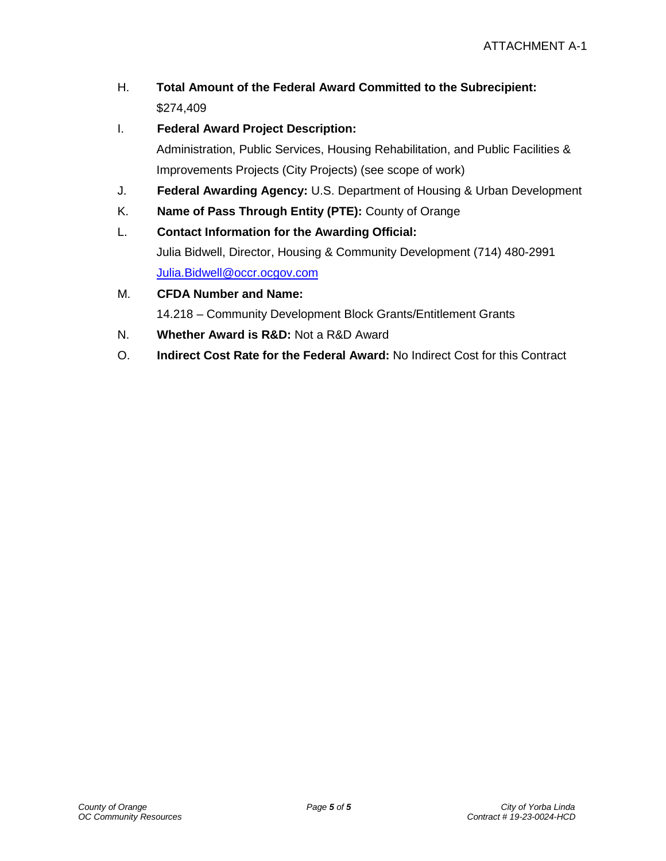- H. **Total Amount of the Federal Award Committed to the Subrecipient:**  \$274,409
- I. **Federal Award Project Description:**

Administration, Public Services, Housing Rehabilitation, and Public Facilities & Improvements Projects (City Projects) (see scope of work)

- J. **Federal Awarding Agency:** U.S. Department of Housing & Urban Development
- K. **Name of Pass Through Entity (PTE):** County of Orange
- L. **Contact Information for the Awarding Official:**  Julia Bidwell, Director, Housing & Community Development (714) 480-2991 [Julia.Bidwell@occr.ocgov.com](mailto:Julia.Bidwell@occr.ocgov.com)
- M. **CFDA Number and Name:**

14.218 – Community Development Block Grants/Entitlement Grants

- N. **Whether Award is R&D:** Not a R&D Award
- O. **Indirect Cost Rate for the Federal Award:** No Indirect Cost for this Contract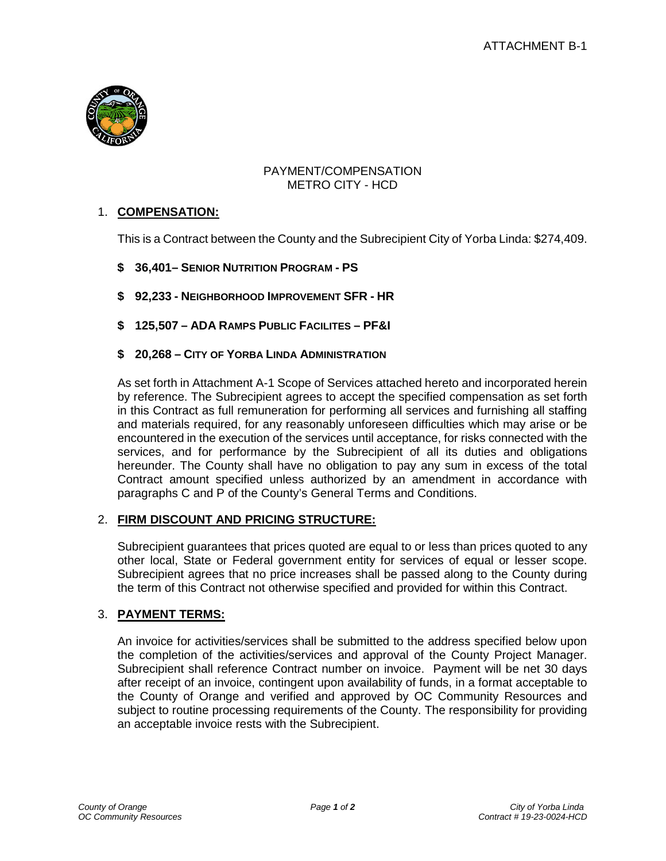

## PAYMENT/COMPENSATION METRO CITY - HCD

# 1. **COMPENSATION:**

This is a Contract between the County and the Subrecipient City of Yorba Linda: \$274,409.

- **\$ 36,401– SENIOR NUTRITION PROGRAM - PS**
- **\$ 92,233 - NEIGHBORHOOD IMPROVEMENT SFR - HR**
- **\$ 125,507 – ADA RAMPS PUBLIC FACILITES – PF&I**
- **\$ 20,268 – CITY OF YORBA LINDA ADMINISTRATION**

As set forth in Attachment A-1 Scope of Services attached hereto and incorporated herein by reference. The Subrecipient agrees to accept the specified compensation as set forth in this Contract as full remuneration for performing all services and furnishing all staffing and materials required, for any reasonably unforeseen difficulties which may arise or be encountered in the execution of the services until acceptance, for risks connected with the services, and for performance by the Subrecipient of all its duties and obligations hereunder. The County shall have no obligation to pay any sum in excess of the total Contract amount specified unless authorized by an amendment in accordance with paragraphs C and P of the County's General Terms and Conditions.

## 2. **FIRM DISCOUNT AND PRICING STRUCTURE:**

Subrecipient guarantees that prices quoted are equal to or less than prices quoted to any other local, State or Federal government entity for services of equal or lesser scope. Subrecipient agrees that no price increases shall be passed along to the County during the term of this Contract not otherwise specified and provided for within this Contract.

# 3. **PAYMENT TERMS:**

An invoice for activities/services shall be submitted to the address specified below upon the completion of the activities/services and approval of the County Project Manager. Subrecipient shall reference Contract number on invoice. Payment will be net 30 days after receipt of an invoice, contingent upon availability of funds, in a format acceptable to the County of Orange and verified and approved by OC Community Resources and subject to routine processing requirements of the County. The responsibility for providing an acceptable invoice rests with the Subrecipient.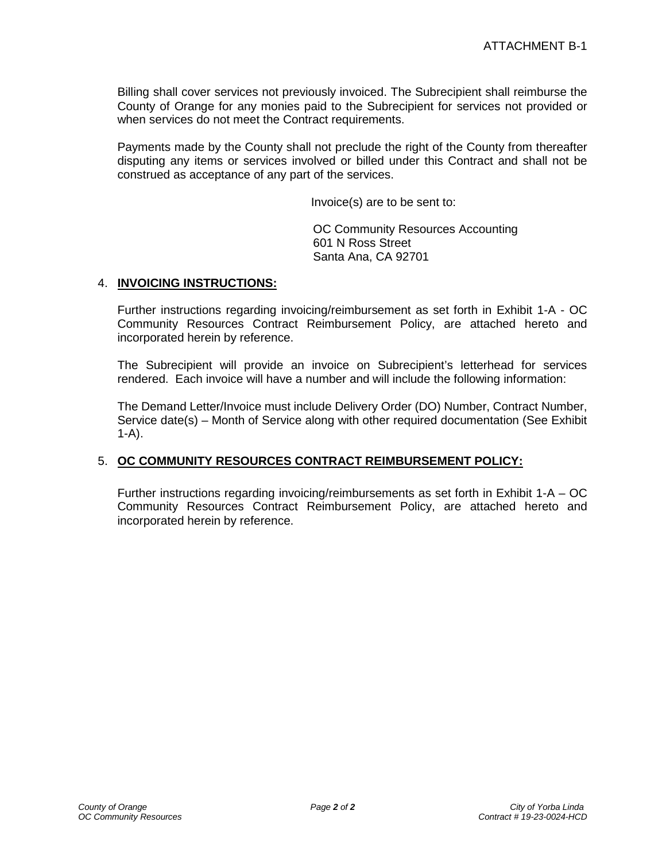Billing shall cover services not previously invoiced. The Subrecipient shall reimburse the County of Orange for any monies paid to the Subrecipient for services not provided or when services do not meet the Contract requirements.

Payments made by the County shall not preclude the right of the County from thereafter disputing any items or services involved or billed under this Contract and shall not be construed as acceptance of any part of the services.

Invoice(s) are to be sent to:

OC Community Resources Accounting 601 N Ross Street Santa Ana, CA 92701

## 4. **INVOICING INSTRUCTIONS:**

Further instructions regarding invoicing/reimbursement as set forth in Exhibit 1-A - OC Community Resources Contract Reimbursement Policy, are attached hereto and incorporated herein by reference.

The Subrecipient will provide an invoice on Subrecipient's letterhead for services rendered. Each invoice will have a number and will include the following information:

The Demand Letter/Invoice must include Delivery Order (DO) Number, Contract Number, Service date(s) – Month of Service along with other required documentation (See Exhibit  $1-A$ ).

## 5. **OC COMMUNITY RESOURCES CONTRACT REIMBURSEMENT POLICY:**

Further instructions regarding invoicing/reimbursements as set forth in Exhibit 1-A – OC Community Resources Contract Reimbursement Policy, are attached hereto and incorporated herein by reference.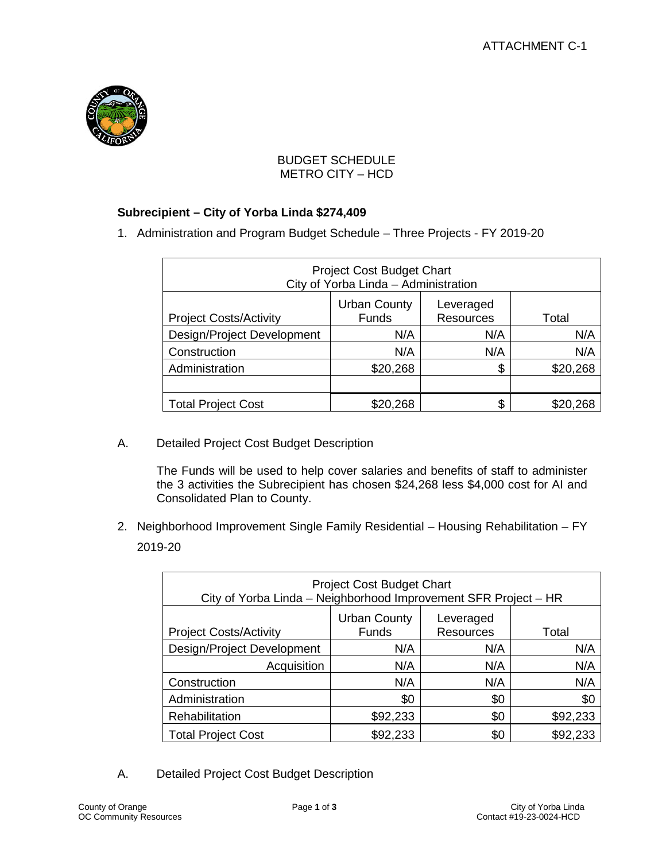

# BUDGET SCHEDULE METRO CITY – HCD

# **Subrecipient – City of Yorba Linda \$274,409**

1. Administration and Program Budget Schedule – Three Projects - FY 2019-20

| <b>Project Cost Budget Chart</b><br>City of Yorba Linda - Administration                                       |          |     |          |  |  |
|----------------------------------------------------------------------------------------------------------------|----------|-----|----------|--|--|
| <b>Urban County</b><br>Leveraged<br><b>Funds</b><br><b>Resources</b><br><b>Project Costs/Activity</b><br>Total |          |     |          |  |  |
| Design/Project Development                                                                                     | N/A      | N/A | N/A      |  |  |
| Construction                                                                                                   | N/A      | N/A | N/A      |  |  |
| Administration                                                                                                 | \$20,268 | \$  | \$20,268 |  |  |
|                                                                                                                |          |     |          |  |  |
| <b>Total Project Cost</b>                                                                                      | \$20,268 | \$  |          |  |  |

A. Detailed Project Cost Budget Description

The Funds will be used to help cover salaries and benefits of staff to administer the 3 activities the Subrecipient has chosen \$24,268 less \$4,000 cost for AI and Consolidated Plan to County.

2. Neighborhood Improvement Single Family Residential – Housing Rehabilitation – FY 2019-20

| <b>Project Cost Budget Chart</b><br>City of Yorba Linda - Neighborhood Improvement SFR Project - HR            |          |     |          |  |
|----------------------------------------------------------------------------------------------------------------|----------|-----|----------|--|
| <b>Urban County</b><br>Leveraged<br><b>Resources</b><br><b>Funds</b><br><b>Project Costs/Activity</b><br>Total |          |     |          |  |
| Design/Project Development                                                                                     | N/A      | N/A | N/A      |  |
| Acquisition<br>N/A<br>N/A<br>N/A                                                                               |          |     |          |  |
| Construction                                                                                                   | N/A      | N/A | N/A      |  |
| Administration                                                                                                 | \$0      | \$0 | \$0      |  |
| Rehabilitation                                                                                                 | \$92,233 | \$0 | \$92,233 |  |
| <b>Total Project Cost</b>                                                                                      | \$92,233 | \$0 | \$92,233 |  |

A. Detailed Project Cost Budget Description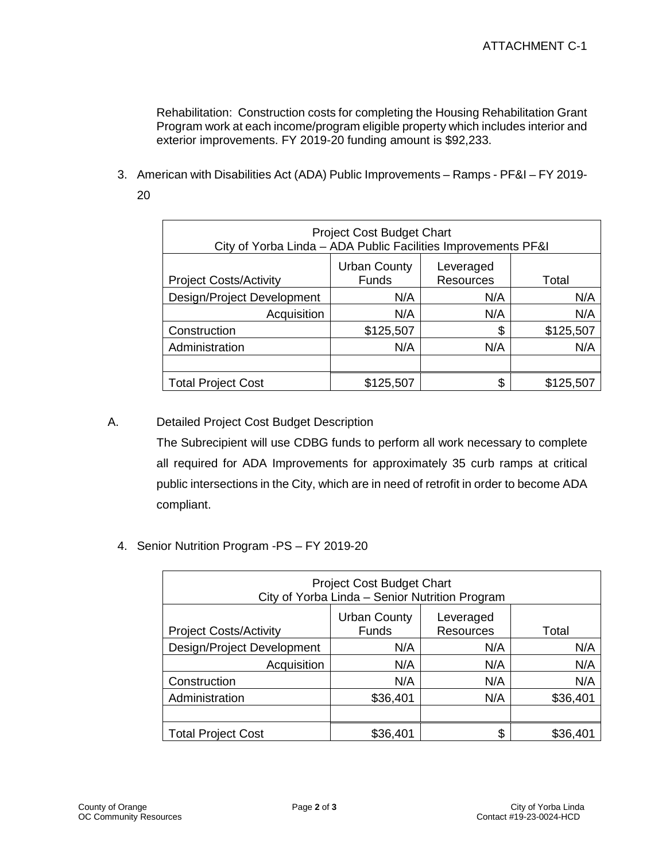Rehabilitation: Construction costs for completing the Housing Rehabilitation Grant Program work at each income/program eligible property which includes interior and exterior improvements. FY 2019-20 funding amount is \$92,233.

3. American with Disabilities Act (ADA) Public Improvements – Ramps - PF&I – FY 2019-

| ۰. |         |
|----|---------|
|    |         |
|    | I       |
|    |         |
|    | ×<br>۰. |

| <b>Project Cost Budget Chart</b><br>City of Yorba Linda - ADA Public Facilities Improvements PF&I              |           |     |           |  |
|----------------------------------------------------------------------------------------------------------------|-----------|-----|-----------|--|
| <b>Urban County</b><br>Leveraged<br><b>Funds</b><br><b>Resources</b><br><b>Project Costs/Activity</b><br>Total |           |     |           |  |
| Design/Project Development                                                                                     | N/A       | N/A | N/A       |  |
| N/A<br>Acquisition<br>N/A                                                                                      |           |     | N/A       |  |
| Construction                                                                                                   | \$125,507 | \$  | \$125,507 |  |
| Administration                                                                                                 | N/A       | N/A | N/A       |  |
|                                                                                                                |           |     |           |  |
| <b>Total Project Cost</b>                                                                                      | \$125,507 | S.  | \$125,507 |  |

# A. Detailed Project Cost Budget Description

The Subrecipient will use CDBG funds to perform all work necessary to complete all required for ADA Improvements for approximately 35 curb ramps at critical public intersections in the City, which are in need of retrofit in order to become ADA compliant.

4. Senior Nutrition Program -PS – FY 2019-20

| <b>Project Cost Budget Chart</b><br>City of Yorba Linda - Senior Nutrition Program                             |          |     |          |  |
|----------------------------------------------------------------------------------------------------------------|----------|-----|----------|--|
| <b>Urban County</b><br>Leveraged<br><b>Funds</b><br><b>Resources</b><br><b>Project Costs/Activity</b><br>Total |          |     |          |  |
| Design/Project Development                                                                                     | N/A      | N/A | N/A      |  |
| Acquisition                                                                                                    | N/A      | N/A | N/A      |  |
| Construction                                                                                                   | N/A      | N/A | N/A      |  |
| Administration                                                                                                 | \$36,401 | N/A | \$36,401 |  |
|                                                                                                                |          |     |          |  |
| <b>Total Project Cost</b>                                                                                      | \$36,401 | \$  | \$36,401 |  |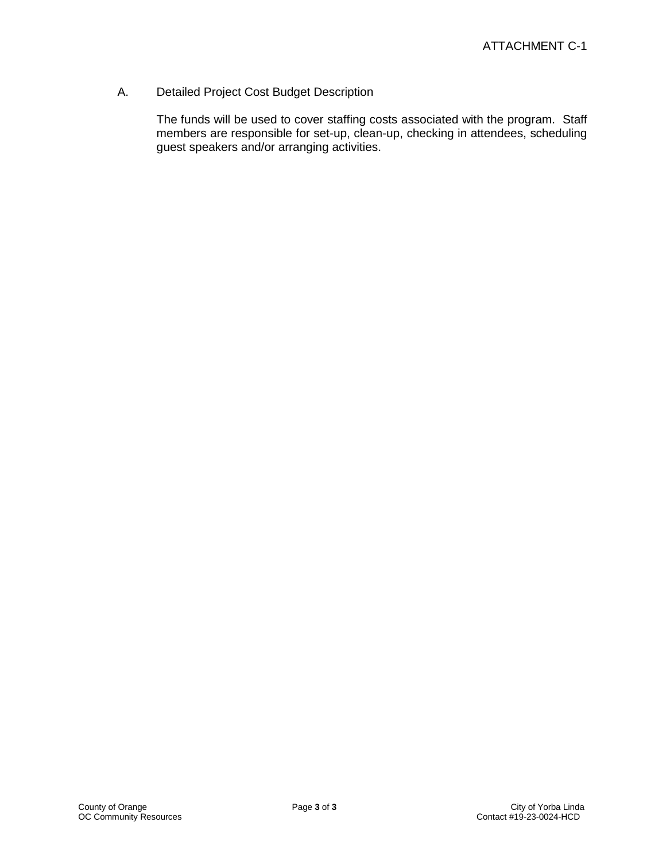A. Detailed Project Cost Budget Description

The funds will be used to cover staffing costs associated with the program. Staff members are responsible for set-up, clean-up, checking in attendees, scheduling guest speakers and/or arranging activities.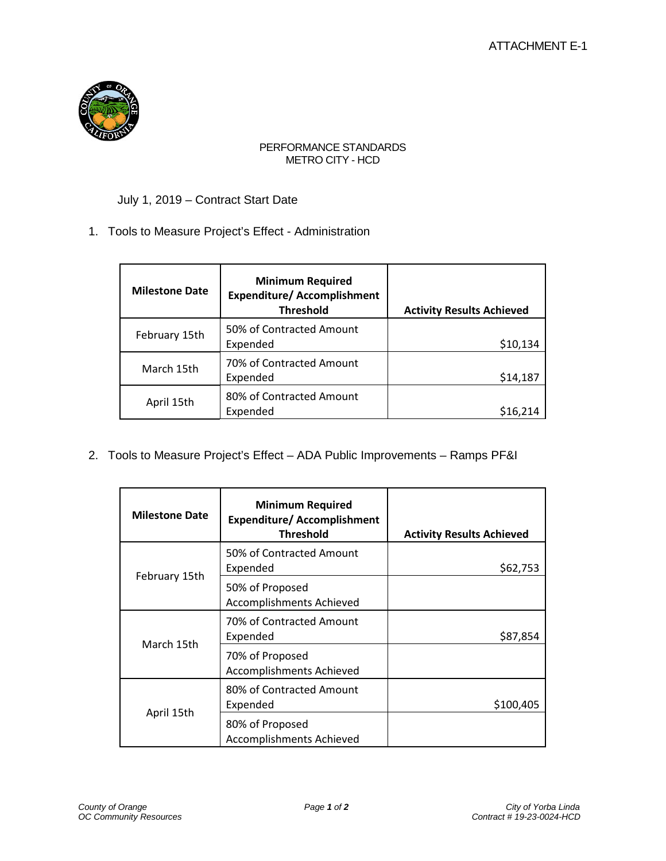

#### PERFORMANCE STANDARDS METRO CITY - HCD

# July 1, 2019 – Contract Start Date

## 1. Tools to Measure Project's Effect - Administration

| <b>Milestone Date</b> | <b>Minimum Required</b><br><b>Expenditure/ Accomplishment</b><br><b>Threshold</b> | <b>Activity Results Achieved</b> |
|-----------------------|-----------------------------------------------------------------------------------|----------------------------------|
| February 15th         | 50% of Contracted Amount<br>Expended                                              | \$10,134                         |
| March 15th            | 70% of Contracted Amount<br>Expended                                              | \$14,187                         |
| April 15th            | 80% of Contracted Amount<br>Expended                                              | \$16,214                         |

2. Tools to Measure Project's Effect – ADA Public Improvements – Ramps PF&I

| <b>Milestone Date</b> | <b>Minimum Required</b><br><b>Expenditure/ Accomplishment</b><br><b>Threshold</b> | <b>Activity Results Achieved</b> |
|-----------------------|-----------------------------------------------------------------------------------|----------------------------------|
| February 15th         | 50% of Contracted Amount<br>Expended                                              | \$62,753                         |
|                       | 50% of Proposed<br><b>Accomplishments Achieved</b>                                |                                  |
| March 15th            | 70% of Contracted Amount<br>Expended                                              | \$87,854                         |
|                       | 70% of Proposed<br><b>Accomplishments Achieved</b>                                |                                  |
|                       | 80% of Contracted Amount<br>Expended                                              | \$100,405                        |
| April 15th            | 80% of Proposed<br><b>Accomplishments Achieved</b>                                |                                  |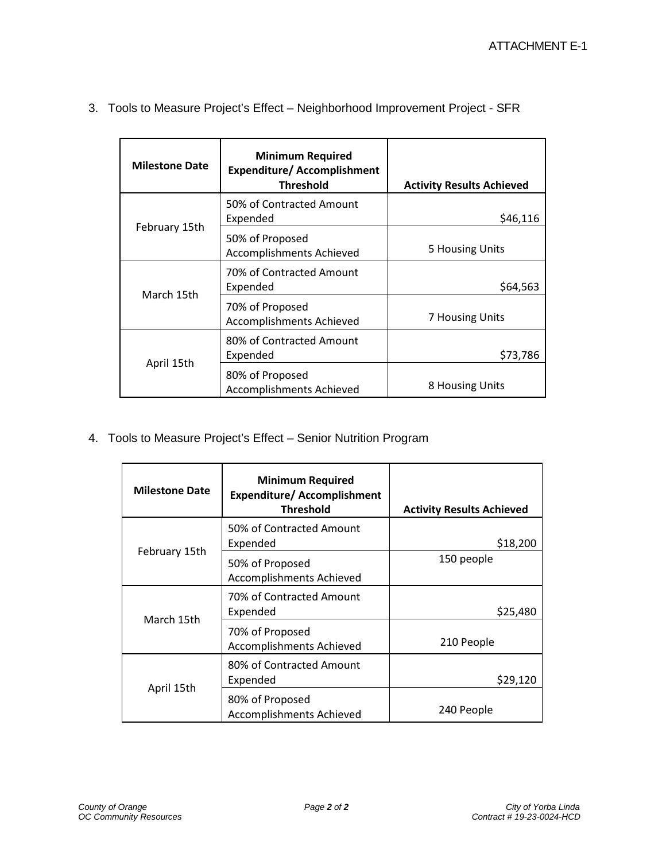| <b>Milestone Date</b> | <b>Minimum Required</b><br><b>Expenditure/ Accomplishment</b><br><b>Threshold</b> | <b>Activity Results Achieved</b> |
|-----------------------|-----------------------------------------------------------------------------------|----------------------------------|
| February 15th         | 50% of Contracted Amount<br>Expended                                              | \$46,116                         |
|                       | 50% of Proposed<br>Accomplishments Achieved                                       | 5 Housing Units                  |
| March 15th            | 70% of Contracted Amount<br>Expended                                              | \$64,563                         |
|                       | 70% of Proposed<br><b>Accomplishments Achieved</b>                                | 7 Housing Units                  |
|                       | 80% of Contracted Amount<br>Expended                                              | \$73,786                         |
| April 15th            | 80% of Proposed<br>Accomplishments Achieved                                       | 8 Housing Units                  |

3. Tools to Measure Project's Effect – Neighborhood Improvement Project - SFR

4. Tools to Measure Project's Effect – Senior Nutrition Program

| <b>Milestone Date</b> | <b>Minimum Required</b><br><b>Expenditure/Accomplishment</b><br><b>Threshold</b> | <b>Activity Results Achieved</b> |
|-----------------------|----------------------------------------------------------------------------------|----------------------------------|
| February 15th         | 50% of Contracted Amount<br>Expended                                             | \$18,200                         |
|                       | 50% of Proposed<br><b>Accomplishments Achieved</b>                               | 150 people                       |
| March 15th            | 70% of Contracted Amount<br>Expended                                             | \$25,480                         |
|                       | 70% of Proposed<br>Accomplishments Achieved                                      | 210 People                       |
| April 15th            | 80% of Contracted Amount<br>Expended                                             | \$29,120                         |
|                       | 80% of Proposed<br><b>Accomplishments Achieved</b>                               | 240 People                       |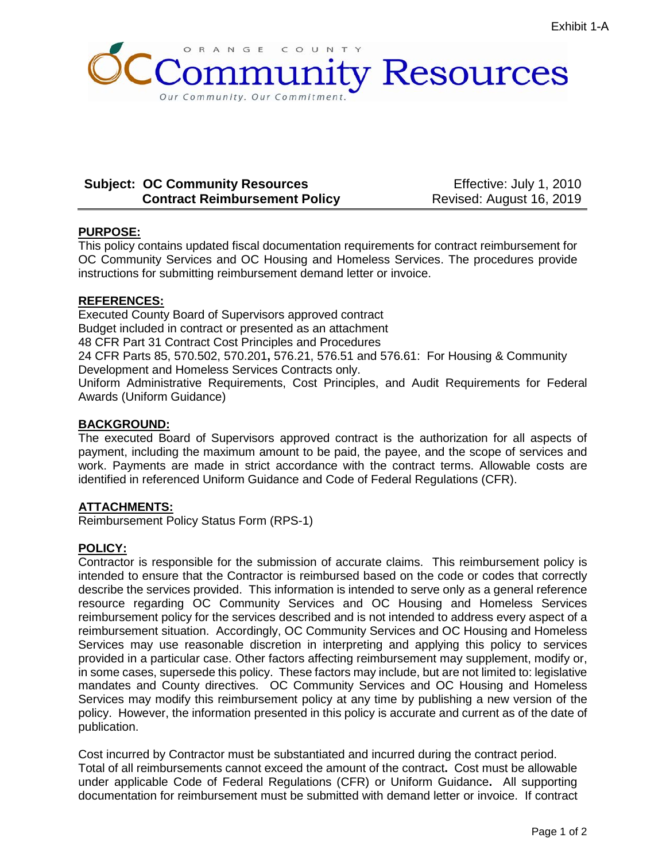

## **Subject: OC Community Resources Contract Reimbursement Policy**

Effective: July 1, 2010 Revised: August 16, 2019

## **PURPOSE:**

This policy contains updated fiscal documentation requirements for contract reimbursement for OC Community Services and OC Housing and Homeless Services. The procedures provide instructions for submitting reimbursement demand letter or invoice.

## **REFERENCES:**

Executed County Board of Supervisors approved contract Budget included in contract or presented as an attachment 48 CFR Part 31 Contract Cost Principles and Procedures 24 CFR Parts 85, 570.502, 570.201**,** 576.21, 576.51 and 576.61: For Housing & Community Development and Homeless Services Contracts only. Uniform Administrative Requirements, Cost Principles, and Audit Requirements for Federal Awards (Uniform Guidance)

#### **BACKGROUND:**

The executed Board of Supervisors approved contract is the authorization for all aspects of payment, including the maximum amount to be paid, the payee, and the scope of services and work. Payments are made in strict accordance with the contract terms. Allowable costs are identified in referenced Uniform Guidance and Code of Federal Regulations (CFR).

## **ATTACHMENTS:**

Reimbursement Policy Status Form (RPS-1)

## **POLICY:**

Contractor is responsible for the submission of accurate claims. This reimbursement policy is intended to ensure that the Contractor is reimbursed based on the code or codes that correctly describe the services provided. This information is intended to serve only as a general reference resource regarding OC Community Services and OC Housing and Homeless Services reimbursement policy for the services described and is not intended to address every aspect of a reimbursement situation. Accordingly, OC Community Services and OC Housing and Homeless Services may use reasonable discretion in interpreting and applying this policy to services provided in a particular case. Other factors affecting reimbursement may supplement, modify or, in some cases, supersede this policy. These factors may include, but are not limited to: legislative mandates and County directives. OC Community Services and OC Housing and Homeless Services may modify this reimbursement policy at any time by publishing a new version of the policy. However, the information presented in this policy is accurate and current as of the date of publication.

Cost incurred by Contractor must be substantiated and incurred during the contract period. Total of all reimbursements cannot exceed the amount of the contract**.** Cost must be allowable under applicable Code of Federal Regulations (CFR) or Uniform Guidance**.** All supporting documentation for reimbursement must be submitted with demand letter or invoice. If contract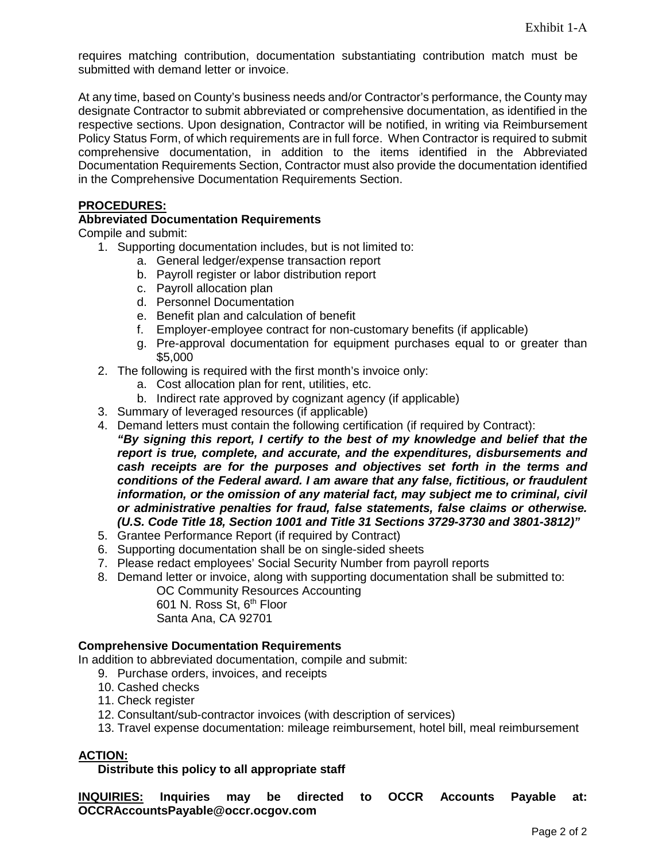requires matching contribution, documentation substantiating contribution match must be submitted with demand letter or invoice.

At any time, based on County's business needs and/or Contractor's performance, the County may designate Contractor to submit abbreviated or comprehensive documentation, as identified in the respective sections. Upon designation, Contractor will be notified, in writing via Reimbursement Policy Status Form, of which requirements are in full force. When Contractor is required to submit comprehensive documentation, in addition to the items identified in the Abbreviated Documentation Requirements Section, Contractor must also provide the documentation identified in the Comprehensive Documentation Requirements Section.

#### **PROCEDURES:**

#### **Abbreviated Documentation Requirements**

Compile and submit:

- 1. Supporting documentation includes, but is not limited to:
	- a. General ledger/expense transaction report
	- b. Payroll register or labor distribution report
	- c. Payroll allocation plan
	- d. Personnel Documentation
	- e. Benefit plan and calculation of benefit
	- f. Employer-employee contract for non-customary benefits (if applicable)
	- g. Pre-approval documentation for equipment purchases equal to or greater than \$5,000
- 2. The following is required with the first month's invoice only:
	- a. Cost allocation plan for rent, utilities, etc.
	- b. Indirect rate approved by cognizant agency (if applicable)
- 3. Summary of leveraged resources (if applicable)
- 4. Demand letters must contain the following certification (if required by Contract): *"By signing this report, I certify to the best of my knowledge and belief that the report is true, complete, and accurate, and the expenditures, disbursements and cash receipts are for the purposes and objectives set forth in the terms and conditions of the Federal award. I am aware that any false, fictitious, or fraudulent information, or the omission of any material fact, may subject me to criminal, civil or administrative penalties for fraud, false statements, false claims or otherwise. (U.S. Code Title 18, Section 1001 and Title 31 Sections 3729-3730 and 3801-3812)"*
- 5. Grantee Performance Report (if required by Contract)
- 6. Supporting documentation shall be on single-sided sheets
- 7. Please redact employees' Social Security Number from payroll reports
- 8. Demand letter or invoice, along with supporting documentation shall be submitted to:

OC Community Resources Accounting 601 N. Ross St, 6<sup>th</sup> Floor Santa Ana, CA 92701

#### **Comprehensive Documentation Requirements**

In addition to abbreviated documentation, compile and submit:

- 9. Purchase orders, invoices, and receipts
- 10. Cashed checks
- 11. Check register
- 12. Consultant/sub-contractor invoices (with description of services)
- 13. Travel expense documentation: mileage reimbursement, hotel bill, meal reimbursement

#### **ACTION:**

#### **Distribute this policy to all appropriate staff**

**INQUIRIES: Inquiries may be directed to OCCR Accounts Payable at: OCCRAccountsPayable@occr.ocgov.com**